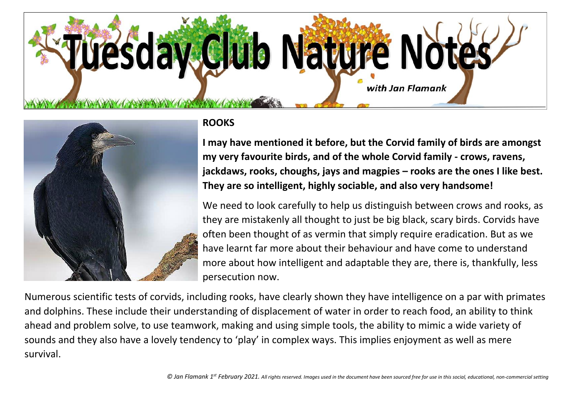



## **ROOKS**

**I may have mentioned it before, but the Corvid family of birds are amongst my very favourite birds, and of the whole Corvid family - crows, ravens, jackdaws, rooks, choughs, jays and magpies – rooks are the ones I like best. They are so intelligent, highly sociable, and also very handsome!**

We need to look carefully to help us distinguish between crows and rooks, as they are mistakenly all thought to just be big black, scary birds. Corvids have often been thought of as vermin that simply require eradication. But as we have learnt far more about their behaviour and have come to understand more about how intelligent and adaptable they are, there is, thankfully, less persecution now.

Numerous scientific tests of corvids, including rooks, have clearly shown they have intelligence on a par with primates and dolphins. These include their understanding of displacement of water in order to reach food, an ability to think ahead and problem solve, to use teamwork, making and using simple tools, the ability to mimic a wide variety of sounds and they also have a lovely tendency to 'play' in complex ways. This implies enjoyment as well as mere survival.